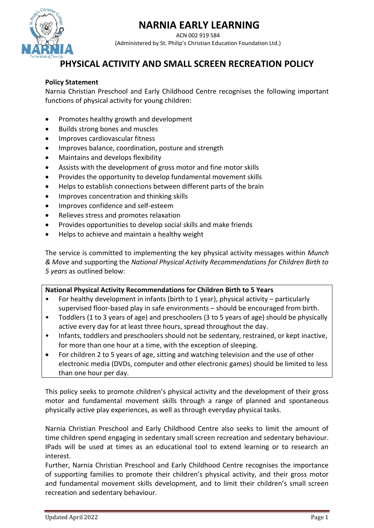# **NARNIA EARLY LEARNING**



ACN 002 919 584 (Administered by St. Philip's Christian Education Foundation Ltd.)

## **PHYSICAL ACTIVITY AND SMALL SCREEN RECREATION POLICY**

#### **Policy Statement**

Narnia Christian Preschool and Early Childhood Centre recognises the following important functions of physical activity for young children:

- Promotes healthy growth and development
- Builds strong bones and muscles
- Improves cardiovascular fitness
- Improves balance, coordination, posture and strength
- Maintains and develops flexibility
- Assists with the development of gross motor and fine motor skills
- Provides the opportunity to develop fundamental movement skills
- Helps to establish connections between different parts of the brain
- Improves concentration and thinking skills
- Improves confidence and self-esteem
- Relieves stress and promotes relaxation
- Provides opportunities to develop social skills and make friends
- Helps to achieve and maintain a healthy weight

The service is committed to implementing the key physical activity messages within *Munch & Move* and supporting the *National Physical Activity Recommendations for Children Birth to 5 years* as outlined below:

#### **National Physical Activity Recommendations for Children Birth to 5 Years**

- For healthy development in infants (birth to 1 year), physical activity particularly supervised floor-based play in safe environments – should be encouraged from birth.
- Toddlers (1 to 3 years of age) and preschoolers (3 to 5 years of age) should be physically active every day for at least three hours, spread throughout the day.
- Infants, toddlers and preschoolers should not be sedentary, restrained, or kept inactive, for more than one hour at a time, with the exception of sleeping.
- For children 2 to 5 years of age, sitting and watching television and the use of other electronic media (DVDs, computer and other electronic games) should be limited to less than one hour per day.

This policy seeks to promote children's physical activity and the development of their gross motor and fundamental movement skills through a range of planned and spontaneous physically active play experiences, as well as through everyday physical tasks.

Narnia Christian Preschool and Early Childhood Centre also seeks to limit the amount of time children spend engaging in sedentary small screen recreation and sedentary behaviour. IPads will be used at times as an educational tool to extend learning or to research an interest.

Further, Narnia Christian Preschool and Early Childhood Centre recognises the importance of supporting families to promote their children's physical activity, and their gross motor and fundamental movement skills development, and to limit their children's small screen recreation and sedentary behaviour.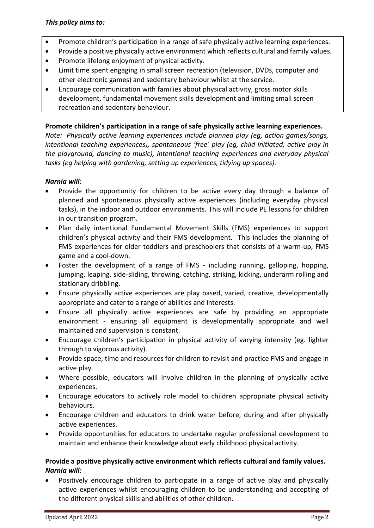- Promote children's participation in a range of safe physically active learning experiences.
- Provide a positive physically active environment which reflects cultural and family values.
- Promote lifelong enjoyment of physical activity.
- Limit time spent engaging in small screen recreation (television, DVDs, computer and other electronic games) and sedentary behaviour whilst at the service.
- Encourage communication with families about physical activity, gross motor skills development, fundamental movement skills development and limiting small screen recreation and sedentary behaviour.

#### **Promote children's participation in a range of safe physically active learning experiences.**

*Note: Physically active learning experiences include planned play (eg, action games/songs, intentional teaching experiences), spontaneous 'free' play (eg, child initiated, active play in the playground, dancing to music), intentional teaching experiences and everyday physical tasks (eg helping with gardening, setting up experiences, tidying up spaces).* 

#### *Narnia will:*

- Provide the opportunity for children to be active every day through a balance of planned and spontaneous physically active experiences (including everyday physical tasks), in the indoor and outdoor environments. This will include PE lessons for children in our transition program.
- Plan daily intentional Fundamental Movement Skills (FMS) experiences to support children's physical activity and their FMS development. This includes the planning of FMS experiences for older toddlers and preschoolers that consists of a warm-up, FMS game and a cool-down.
- Foster the development of a range of FMS including running, galloping, hopping, jumping, leaping, side-sliding, throwing, catching, striking, kicking, underarm rolling and stationary dribbling.
- Ensure physically active experiences are play based, varied, creative, developmentally appropriate and cater to a range of abilities and interests.
- Ensure all physically active experiences are safe by providing an appropriate environment - ensuring all equipment is developmentally appropriate and well maintained and supervision is constant.
- Encourage children's participation in physical activity of varying intensity (eg. lighter through to vigorous activity).
- Provide space, time and resources for children to revisit and practice FMS and engage in active play.
- Where possible, educators will involve children in the planning of physically active experiences.
- Encourage educators to actively role model to children appropriate physical activity behaviours.
- Encourage children and educators to drink water before, during and after physically active experiences.
- Provide opportunities for educators to undertake regular professional development to maintain and enhance their knowledge about early childhood physical activity.

#### **Provide a positive physically active environment which reflects cultural and family values.** *Narnia will:*

• Positively encourage children to participate in a range of active play and physically active experiences whilst encouraging children to be understanding and accepting of the different physical skills and abilities of other children.